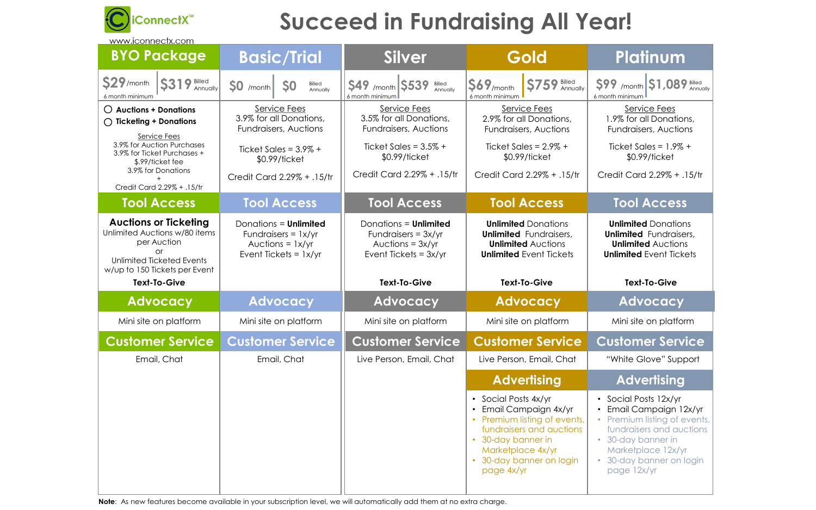

# **Succeed in Fundraising All Year!**

www.iconnectx.com

 $Sales = 1.9% +$ \$0.99/ticket

rd 2.29% + .15/tr

### Access

**ed** Donations **d** Fundraisers, **ted** Auctions **d** Event Tickets

# **Platinum**

\$99 /month \$1,089 Billed

vice Fees all Donations, sers, Auctions

| <b>BYO Package</b>                                                                                                                                      | <b>Basic/Trial</b>                                                                                     | <b>Silver</b>                                                                                          | Gold                                                                                                                       | Plat                                                                |  |  |
|---------------------------------------------------------------------------------------------------------------------------------------------------------|--------------------------------------------------------------------------------------------------------|--------------------------------------------------------------------------------------------------------|----------------------------------------------------------------------------------------------------------------------------|---------------------------------------------------------------------|--|--|
| $S29/$ month<br>$$319$ $$^{Billed}_{Annually}$<br>6 month minimum                                                                                       | Billed<br>$\mathsf{SO}$ /month<br>S <sub>0</sub><br>Annually                                           | Billed<br>Annually<br><b>S49 /month S539</b><br>6 month minimum                                        | S759 Billed<br>$S69$ /month<br>6 month minimum                                                                             | $S99$ /month<br>6 month minimum                                     |  |  |
| $\bigcirc$ Auctions + Donations<br>$\bigcap$ Ticketing + Donations<br>Service Fees                                                                      | Service Fees<br>3.9% for all Donations,<br><b>Fundraisers, Auctions</b>                                | Service Fees<br>3.5% for all Donations,<br><b>Fundraisers, Auctions</b>                                | Service Fees<br>2.9% for all Donations,<br><b>Fundraisers, Auctions</b>                                                    | Servi<br>1.9% for c<br>Fundraise                                    |  |  |
| 3.9% for Auction Purchases<br>3.9% for Ticket Purchases +<br>\$.99/ticket fee                                                                           | Ticket Sales = $3.9\% +$<br>\$0.99/ticket                                                              | Ticket Sales = $3.5\%$ +<br>\$0.99/ticket                                                              | Ticket Sales = $2.9\% +$<br>\$0.99/ticket                                                                                  | <b>Ticket Sc</b><br>\$0.9                                           |  |  |
| 3.9% for Donations<br>Credit Card 2.29% + .15/tr                                                                                                        | Credit Card 2.29% + .15/tr                                                                             | Credit Card 2.29% + .15/tr                                                                             | Credit Card 2.29% + .15/tr                                                                                                 | <b>Credit Card</b>                                                  |  |  |
| <b>Tool Access</b>                                                                                                                                      | <b>Tool Access</b>                                                                                     | <b>Tool Access</b>                                                                                     | <b>Tool Access</b>                                                                                                         | Tool                                                                |  |  |
| <b>Auctions or Ticketing</b><br>Unlimited Auctions w/80 items<br>per Auction<br>or<br><b>Unlimited Ticketed Events</b><br>w/up to 150 Tickets per Event | Donations = <b>Unlimited</b><br>Fundraisers = $1x/yr$<br>Auctions = $1x/yr$<br>Event Tickets = $1x/yr$ | Donations = <b>Unlimited</b><br>Fundraisers = $3x/yr$<br>Auctions = $3x/yr$<br>Event Tickets = $3x/yr$ | <b>Unlimited Donations</b><br><b>Unlimited</b> Fundraisers,<br><b>Unlimited Auctions</b><br><b>Unlimited Event Tickets</b> | <b>Unlimite</b><br><b>Unlimited</b><br>Unlimite<br><b>Unlimited</b> |  |  |
|                                                                                                                                                         |                                                                                                        |                                                                                                        |                                                                                                                            |                                                                     |  |  |
| <b>Text-To-Give</b>                                                                                                                                     |                                                                                                        | <b>Text-To-Give</b>                                                                                    | <b>Text-To-Give</b>                                                                                                        | Text                                                                |  |  |
| <b>Advocacy</b>                                                                                                                                         | <b>Advocacy</b>                                                                                        | Advocacy                                                                                               | <b>Advocacy</b>                                                                                                            | <b>Adv</b>                                                          |  |  |
| Mini site on platform                                                                                                                                   | Mini site on platform                                                                                  | Mini site on platform                                                                                  | Mini site on platform                                                                                                      | Mini site                                                           |  |  |
| <b>Customer Service</b>                                                                                                                                 | <b>Customer Service</b>                                                                                | <b>Customer Service</b>                                                                                | <b>Customer Service</b>                                                                                                    | Custom                                                              |  |  |
| Email, Chat                                                                                                                                             | Email, Chat                                                                                            | Live Person, Email, Chat                                                                               | Live Person, Email, Chat                                                                                                   | "White G                                                            |  |  |
|                                                                                                                                                         |                                                                                                        |                                                                                                        | <b>Advertising</b>                                                                                                         | <b>Adv</b>                                                          |  |  |

**Note**: As new features become available in your subscription level, we will automatically add them at no extra charge.

#### **Text-To-Give Text-To-Give Text-To-Give**

### **Advisory**

te on platform

## **ner Service**

Glove" Support

#### *<u><b>A</u>*

osts 12x/yr • Email Campaign 12x/yr m listing of events, sers and auctions banner in olace 12x/yr banner on login  $2x/yr$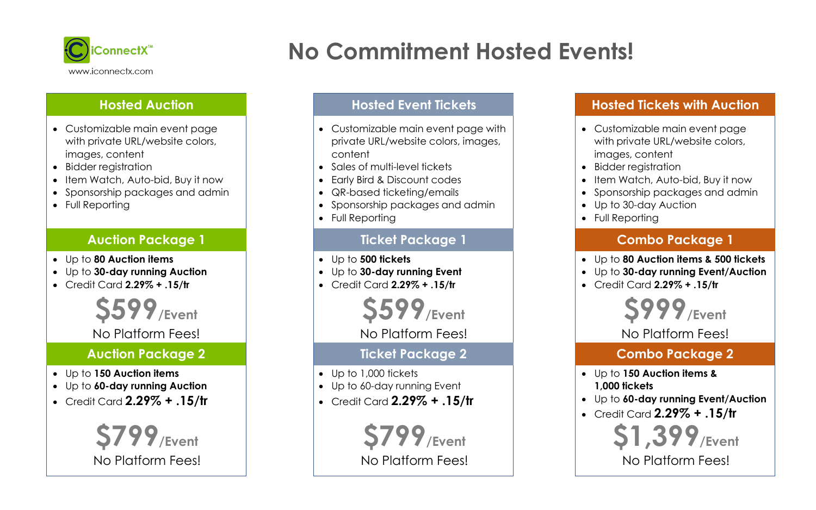- Customizable main event page with private URL/website colors, images, content
- Bidder registration
- Item Watch, Auto-bid, Buy it now
- Sponsorship packages and admin
- Full Reporting



## **Hosted Auction**

# **No Commitment Hosted Events!**

#### **Auction Package 1**

- Up to **80 Auction items**
- Up to **30-day running Auction**
- Credit Card **2.29% + .15/tr**

#### **Auction Package 2**

- Up to **150 Auction items**
- Up to **60-day running Auction**
- Credit Card **2.29% + .15/tr**

**\$599/Event**

#### No Platform Fees!



- Customizable main event page with private URL/website colors, images, content
- Sales of multi-level tickets
- Early Bird & Discount codes
- QR-based ticketing/emails
- Sponsorship packages and admin
- Full Reporting

#### **Hosted Event Tickets**

#### **Ticket Package 1**

- Up to **500 tickets**
- Up to **30-day running Event**
- Credit Card **2.29% + .15/tr**

### **Ticket Package 2**

- Up to 1,000 tickets
- Up to 60-day running Event
- Credit Card **2.29% + .15/tr**

**\$599/Event** No Platform Fees!

**\$799/Event** No Platform Fees!

• Customizable main event page with private URL/website colors, • Item Watch, Auto-bid, Buy it now • Sponsorship packages and admin • Up to 30-day Auction

- images, content
- Bidder registration
- 
- 
- 
- Full Reporting

- 
- 
- 



## **Hosted Tickets with Auction**

#### **Combo Package 1**

• Up to **80 Auction items & 500 tickets** • Up to **30-day running Event/Auction** • Credit Card **2.29% + .15/tr**

### **Combo Package 2**

• Up to **150 Auction items &** 

- **1,000 tickets**
- 
- 

• Up to **60-day running Event/Auction** • Credit Card **2.29% + .15/tr**

**\$999/Event**

No Platform Fees!



No Platform Fees!